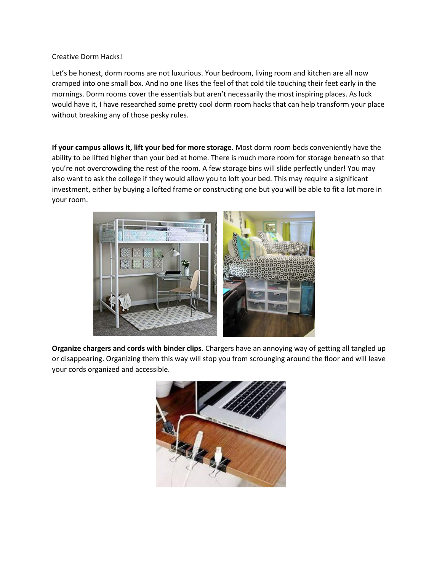## Creative Dorm Hacks!

Let's be honest, dorm rooms are not luxurious. Your bedroom, living room and kitchen are all now cramped into one small box. And no one likes the feel of that cold tile touching their feet early in the mornings. Dorm rooms cover the essentials but aren't necessarily the most inspiring places. As luck would have it, I have researched some pretty cool dorm room hacks that can help transform your place without breaking any of those pesky rules.

**If your campus allows it, lift your bed for more storage.** Most dorm room beds conveniently have the ability to be lifted higher than your bed at home. There is much more room for storage beneath so that you're not overcrowding the rest of the room. A few storage bins will slide perfectly under! You may also want to ask the college if they would allow you to loft your bed. This may require a significant investment, either by buying a lofted frame or constructing one but you will be able to fit a lot more in your room.



**Organize chargers and cords with binder clips.** Chargers have an annoying way of getting all tangled up or disappearing. Organizing them this way will stop you from scrounging around the floor and will leave your cords organized and accessible.

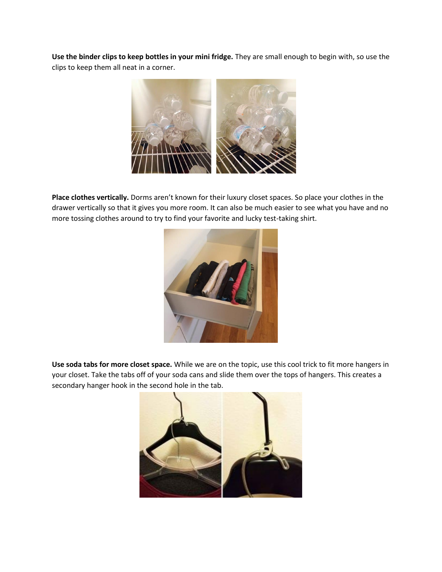**Use the binder clips to keep bottles in your mini fridge.** They are small enough to begin with, so use the clips to keep them all neat in a corner.



**Place clothes vertically.** Dorms aren't known for their luxury closet spaces. So place your clothes in the drawer vertically so that it gives you more room. It can also be much easier to see what you have and no more tossing clothes around to try to find your favorite and lucky test-taking shirt.



**Use soda tabs for more closet space.** While we are on the topic, use this cool trick to fit more hangers in your closet. Take the tabs off of your soda cans and slide them over the tops of hangers. This creates a secondary hanger hook in the second hole in the tab.

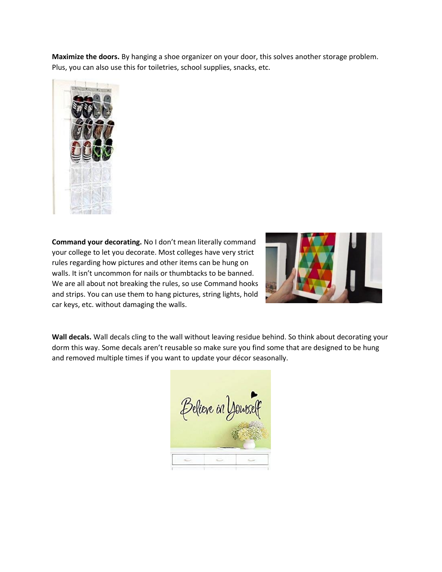**Maximize the doors.** By hanging a shoe organizer on your door, this solves another storage problem. Plus, you can also use this for toiletries, school supplies, snacks, etc.



**Command your decorating.** No I don't mean literally command your college to let you decorate. Most colleges have very strict rules regarding how pictures and other items can be hung on walls. It isn't uncommon for nails or thumbtacks to be banned. We are all about not breaking the rules, so use Command hooks and strips. You can use them to hang pictures, string lights, hold car keys, etc. without damaging the walls.



**Wall decals.** Wall decals cling to the wall without leaving residue behind. So think about decorating your dorm this way. Some decals aren't reusable so make sure you find some that are designed to be hung and removed multiple times if you want to update your décor seasonally.

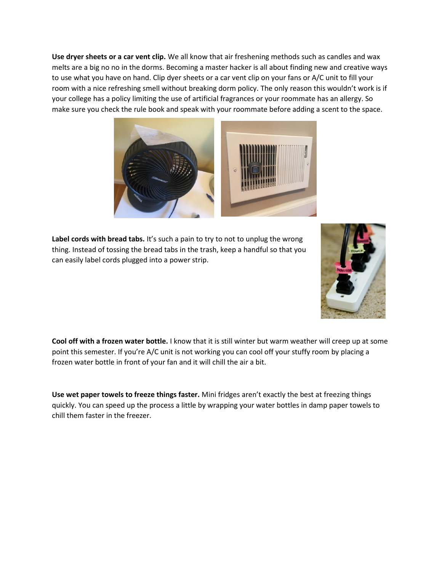**Use dryer sheets or a car vent clip.** We all know that air freshening methods such as candles and wax melts are a big no no in the dorms. Becoming a master hacker is all about finding new and creative ways to use what you have on hand. Clip dyer sheets or a car vent clip on your fans or A/C unit to fill your room with a nice refreshing smell without breaking dorm policy. The only reason this wouldn't work is if your college has a policy limiting the use of artificial fragrances or your roommate has an allergy. So make sure you check the rule book and speak with your roommate before adding a scent to the space.



Label cords with bread tabs. It's such a pain to try to not to unplug the wrong thing. Instead of tossing the bread tabs in the trash, keep a handful so that you can easily label cords plugged into a power strip.



**Cool off with a frozen water bottle.** I know that it is still winter but warm weather will creep up at some point this semester. If you're A/C unit is not working you can cool off your stuffy room by placing a frozen water bottle in front of your fan and it will chill the air a bit.

**Use wet paper towels to freeze things faster.** Mini fridges aren't exactly the best at freezing things quickly. You can speed up the process a little by wrapping your water bottles in damp paper towels to chill them faster in the freezer.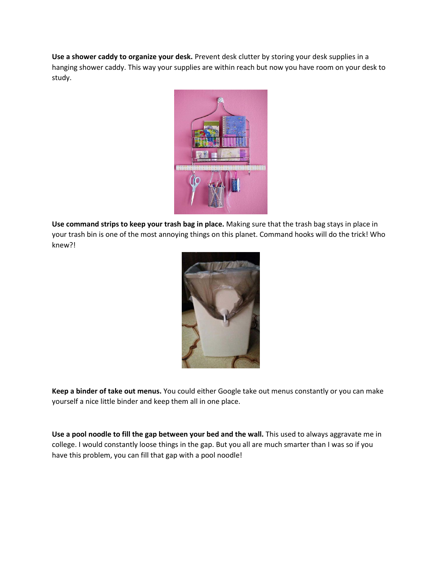**Use a shower caddy to organize your desk.** Prevent desk clutter by storing your desk supplies in a hanging shower caddy. This way your supplies are within reach but now you have room on your desk to study.



**Use command strips to keep your trash bag in place.** Making sure that the trash bag stays in place in your trash bin is one of the most annoying things on this planet. Command hooks will do the trick! Who knew?!



**Keep a binder of take out menus.** You could either Google take out menus constantly or you can make yourself a nice little binder and keep them all in one place.

**Use a pool noodle to fill the gap between your bed and the wall.** This used to always aggravate me in college. I would constantly loose things in the gap. But you all are much smarter than I was so if you have this problem, you can fill that gap with a pool noodle!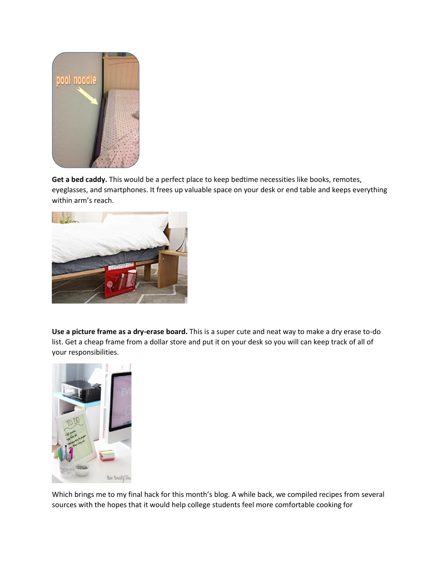

**Get a bed caddy.** This would be a perfect place to keep bedtime necessities like books, remotes, eyeglasses, and smartphones. It frees up valuable space on your desk or end table and keeps everything within arm's reach.



**Use a picture frame as a dry-erase board.** This is a super cute and neat way to make a dry erase to-do list. Get a cheap frame from a dollar store and put it on your desk so you will can keep track of all of your responsibilities.



Which brings me to my final hack for this month's blog. A while back, we compiled recipes from several sources with the hopes that it would help college students feel more comfortable cooking for